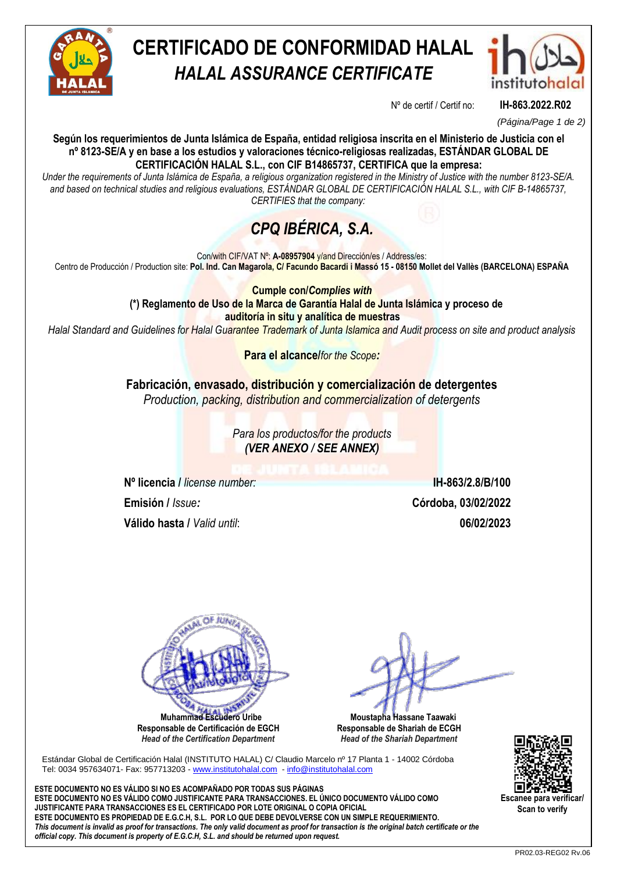

# **CERTIFICADO DE CONFORMIDAD HALAL** *HALAL ASSURANCE CERTIFICATE*



Nº de certif / Certif no: **IH-863.2022.R02**

*(Página/Page 1 de 2)*

**Según los requerimientos de Junta Islámica de España, entidad religiosa inscrita en el Ministerio de Justicia con el nº 8123-SE/A y en base a los estudios y valoraciones técnico-religiosas realizadas, ESTÁNDAR GLOBAL DE CERTIFICACIÓN HALAL S.L., con CIF B14865737, CERTIFICA que la empresa:**

*Under the requirements of Junta Islámica de España, a religious organization registered in the Ministry of Justice with the number 8123-SE/A. and based on technical studies and religious evaluations, ESTÁNDAR GLOBAL DE CERTIFICACIÓN HALAL S.L., with CIF B-14865737, CERTIFIES that the company:*

## *CPQ IBÉRICA, S.A.*

Con/with CIF/VAT Nº: **A-08957904** y/and Dirección/es / Address/es: Centro de Producción / Production site: **Pol. Ind. Can Magarola, C/ Facundo Bacardi i Massó 15 - 08150 Mollet del Vallès (BARCELONA) ESPAÑA**

> **Cumple con/***Complies with* **(\*) Reglamento de Uso de la Marca de Garantía Halal de Junta Islámica y proceso de auditoría in situ y analítica de muestras**

*Halal Standard and Guidelines for Halal Guarantee Trademark of Junta Islamica and Audit process on site and product analysis*

**Para el alcance/***for the Scope:*

**Fabricación, envasado, distribución y comercialización de detergentes** *Production, packing, distribution and commercialization of detergents*

> *Para los productos/for the products (VER ANEXO / SEE ANNEX)*

**Nº licencia /** *license number:* **IH-863/2.8/B/100 Emisión /** *Issue:* **Córdoba, 03/02/2022 Válido hasta /** *Valid until*: **06/02/2023**

**N**<sub>t</sub>  **Muhammad Escudero Uribe**

**Responsable de Certificación de EGCH**  *Head of the Certification Department*

 **Moustapha Hassane Taawaki Responsable de Shariah de ECGH** *Head of the Shariah Department*

Estándar Global de Certificación Halal (INSTITUTO HALAL) C/ Claudio Marcelo nº 17 Planta 1 - 14002 Córdoba Tel: 0034 957634071- Fax: 957713203 - [www.institutohalal.com](http://www.institutohalal.com/) - [info@institutohalal.com](mailto:info@institutohalal.com)

**ESTE DOCUMENTO NO ES VÁLIDO SI NO ES ACOMPAÑADO POR TODAS SUS PÁGINAS ESTE DOCUMENTO NO ES VÁLIDO COMO JUSTIFICANTE PARA TRANSACCIONES. EL ÚNICO DOCUMENTO VÁLIDO COMO JUSTIFICANTE PARA TRANSACCIONES ES EL CERTIFICADO POR LOTE ORIGINAL O COPIA OFICIAL ESTE DOCUMENTO ES PROPIEDAD DE E.G.C.H, S.L. POR LO QUE DEBE DEVOLVERSE CON UN SIMPLE REQUERIMIENTO.** *This document is invalid as proof for transactions. The only valid document as proof for transaction is the original batch certificate or the official copy. This document is property of E.G.C.H, S.L. and should be returned upon request.*